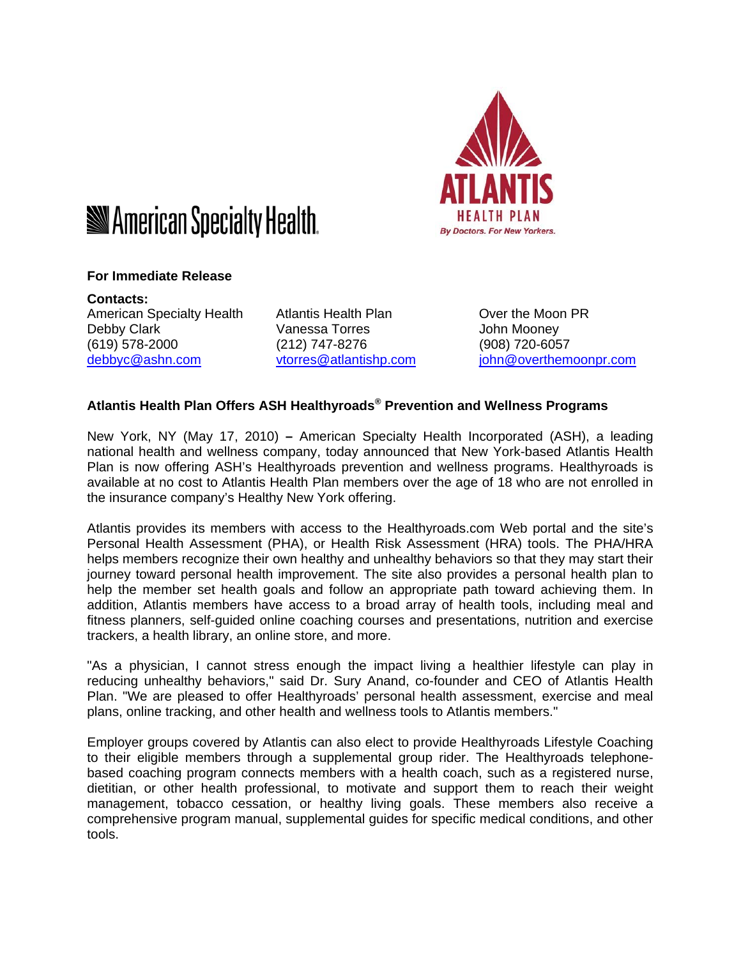

# **Sometal Specialty Health.**

## **For Immediate Release**

**Contacts:**  American Specialty Health Atlantis Health Plan **Over the Moon PR** Debby Clark Vanessa Torres John Mooney (619) 578-2000 (212) 747-8276 (908) 720-6057

debbyc@ashn.com vtorres@atlantishp.com john@overthemoonpr.com

## **Atlantis Health Plan Offers ASH Healthyroads® Prevention and Wellness Programs**

New York, NY (May 17, 2010) **–** American Specialty Health Incorporated (ASH), a leading national health and wellness company, today announced that New York-based Atlantis Health Plan is now offering ASH's Healthyroads prevention and wellness programs. Healthyroads is available at no cost to Atlantis Health Plan members over the age of 18 who are not enrolled in the insurance company's Healthy New York offering.

Atlantis provides its members with access to the Healthyroads.com Web portal and the site's Personal Health Assessment (PHA), or Health Risk Assessment (HRA) tools. The PHA/HRA helps members recognize their own healthy and unhealthy behaviors so that they may start their journey toward personal health improvement. The site also provides a personal health plan to help the member set health goals and follow an appropriate path toward achieving them. In addition, Atlantis members have access to a broad array of health tools, including meal and fitness planners, self-guided online coaching courses and presentations, nutrition and exercise trackers, a health library, an online store, and more.

"As a physician, I cannot stress enough the impact living a healthier lifestyle can play in reducing unhealthy behaviors," said Dr. Sury Anand, co-founder and CEO of Atlantis Health Plan. "We are pleased to offer Healthyroads' personal health assessment, exercise and meal plans, online tracking, and other health and wellness tools to Atlantis members."

Employer groups covered by Atlantis can also elect to provide Healthyroads Lifestyle Coaching to their eligible members through a supplemental group rider. The Healthyroads telephonebased coaching program connects members with a health coach, such as a registered nurse, dietitian, or other health professional, to motivate and support them to reach their weight management, tobacco cessation, or healthy living goals. These members also receive a comprehensive program manual, supplemental guides for specific medical conditions, and other tools.